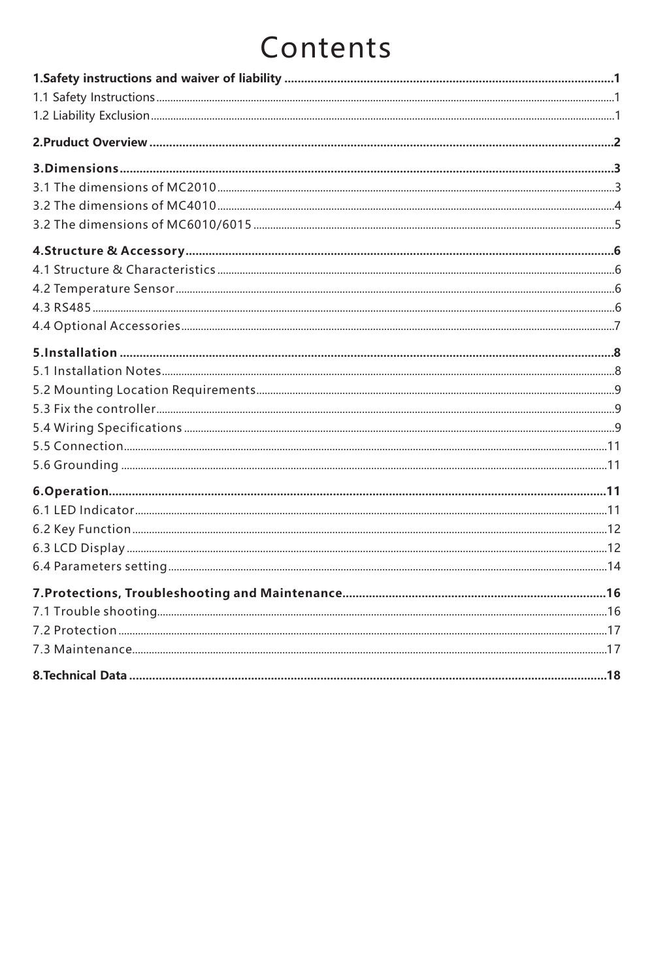# Contents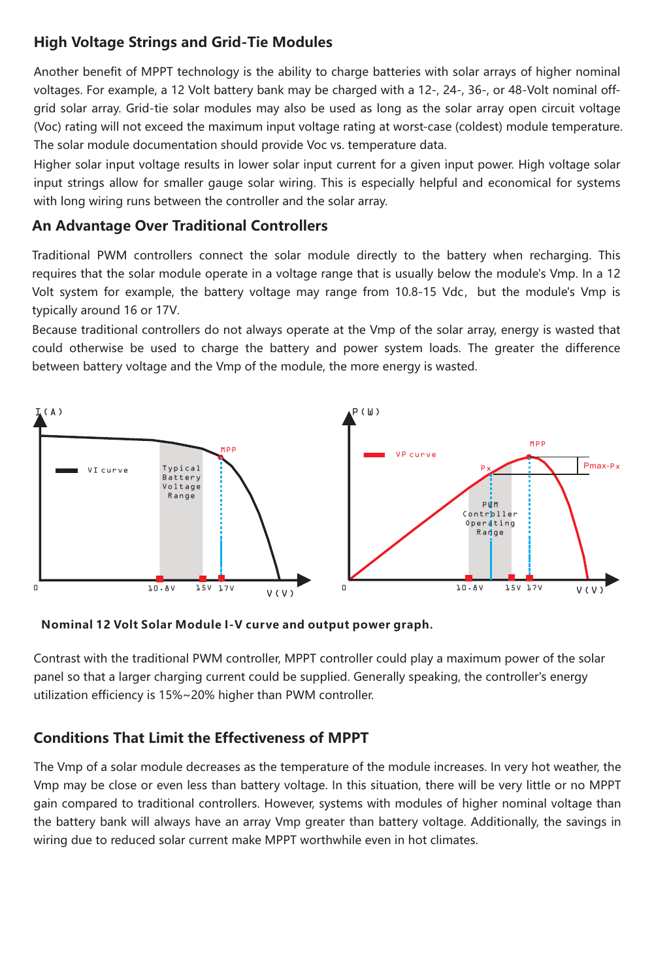### **High Voltage Strings and Grid-Tie Modules**

Another benefit of MPPT technology is the ability to charge batteries with solar arrays of higher nominal voltages. For example, a 12 Volt battery bank may be charged with a 12-, 24-, 36-, or 48-Volt nominal offgrid solar array. Grid-tie solar modules may also be used as long as the solar array open circuit voltage (Voc) rating will not exceed the maximum input voltage rating at worst-case (coldest) module temperature. The solar module documentation should provide Voc vs. temperature data.

Higher solar input voltage results in lower solar input current for a given input power. High voltage solar input strings allow for smaller gauge solar wiring. This is especially helpful and economical for systems with long wiring runs between the controller and the solar array.

### **An Advantage Over Traditional Controllers**

Traditional PWM controllers connect the solar module directly to the battery when recharging. This requires that the solar module operate in a voltage range that is usually below the module's Vmp. In a 12 Volt system for example, the battery voltage may range from 10.8-15 Vdc, but the module's Vmp is typically around 16 or 17V.

Because traditional controllers do not always operate at the Vmp of the solar array, energy is wasted that could otherwise be used to charge the battery and power system loads. The greater the difference between battery voltage and the Vmp of the module, the more energy is wasted.



**Nominal 12 Volt Solar Module I-V curve and output power graph.**

Contrast with the traditional PWM controller, MPPT controller could play a maximum power of the solar panel so that a larger charging current could be supplied. Generally speaking, the controller's energy utilization efficiency is 15%~20% higher than PWM controller.

### **Conditions That Limit the Effectiveness of MPPT**

The Vmp of a solar module decreases as the temperature of the module increases. In very hot weather, the Vmp may be close or even less than battery voltage. In this situation, there will be very little or no MPPT gain compared to traditional controllers. However, systems with modules of higher nominal voltage than the battery bank will always have an array Vmp greater than battery voltage. Additionally, the savings in wiring due to reduced solar current make MPPT worthwhile even in hot climates.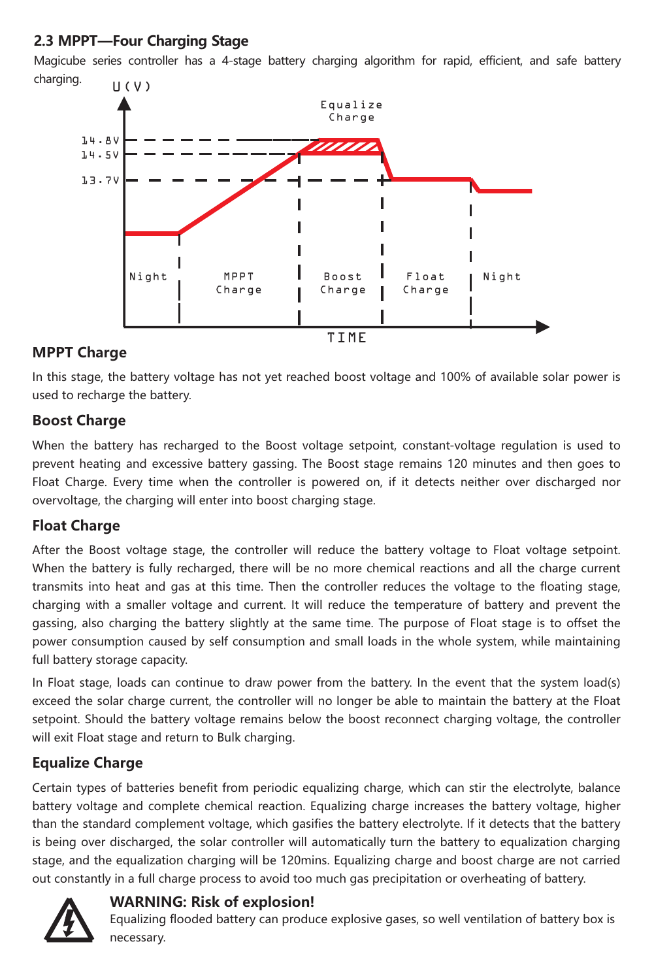### **2.3 MPPT—Four Charging Stage**

Magicube series controller has a 4-stage battery charging algorithm for rapid, efficient, and safe battery charging.



### **MPPT Charge**

In this stage, the battery voltage has not yet reached boost voltage and 100% of available solar power is used to recharge the battery.

### **Boost Charge**

When the battery has recharged to the Boost voltage setpoint, constant-voltage regulation is used to prevent heating and excessive battery gassing. The Boost stage remains 120 minutes and then goes to Float Charge. Every time when the controller is powered on, if it detects neither over discharged nor overvoltage, the charging will enter into boost charging stage.

### **Float Charge**

After the Boost voltage stage, the controller will reduce the battery voltage to Float voltage setpoint. When the battery is fully recharged, there will be no more chemical reactions and all the charge current transmits into heat and gas at this time. Then the controller reduces the voltage to the floating stage, charging with a smaller voltage and current. It will reduce the temperature of battery and prevent the gassing, also charging the battery slightly at the same time. The purpose of Float stage is to offset the power consumption caused by self consumption and small loads in the whole system, while maintaining full battery storage capacity.

In Float stage, loads can continue to draw power from the battery. In the event that the system load(s) exceed the solar charge current, the controller will no longer be able to maintain the battery at the Float setpoint. Should the battery voltage remains below the boost reconnect charging voltage, the controller will exit Float stage and return to Bulk charging.

### **Equalize Charge**

Certain types of batteries benefit from periodic equalizing charge, which can stir the electrolyte, balance battery voltage and complete chemical reaction. Equalizing charge increases the battery voltage, higher than the standard complement voltage, which gasifies the battery electrolyte. If it detects that the battery is being over discharged, the solar controller will automatically turn the battery to equalization charging stage, and the equalization charging will be 120mins. Equalizing charge and boost charge are not carried out constantly in a full charge process to avoid too much gas precipitation or overheating of battery.



### **WARNING: Risk of explosion!**

Equalizing flooded battery can produce explosive gases, so well ventilation of battery box is necessary.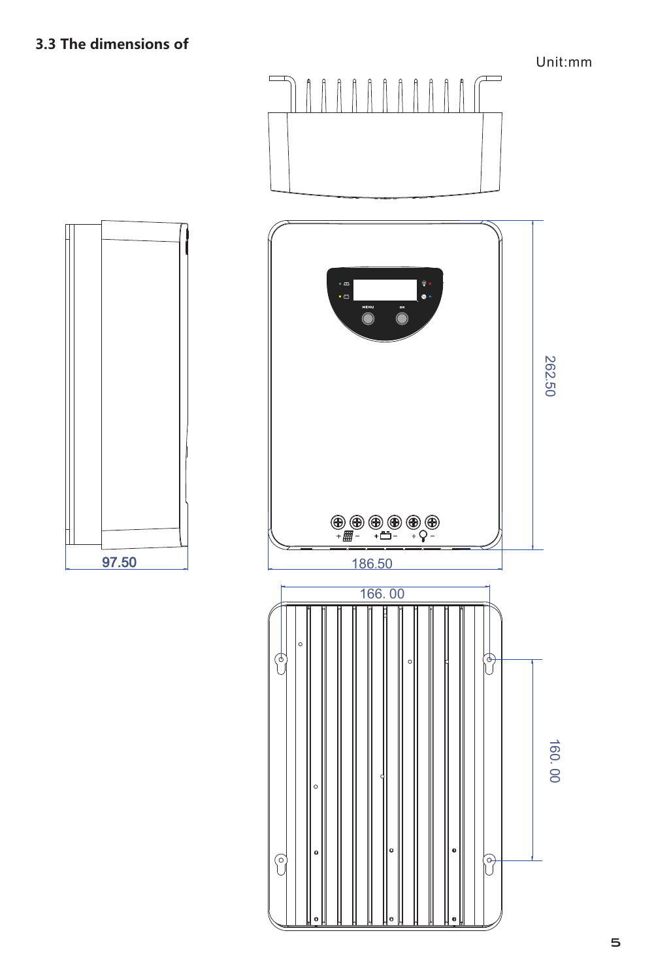Unit:mm



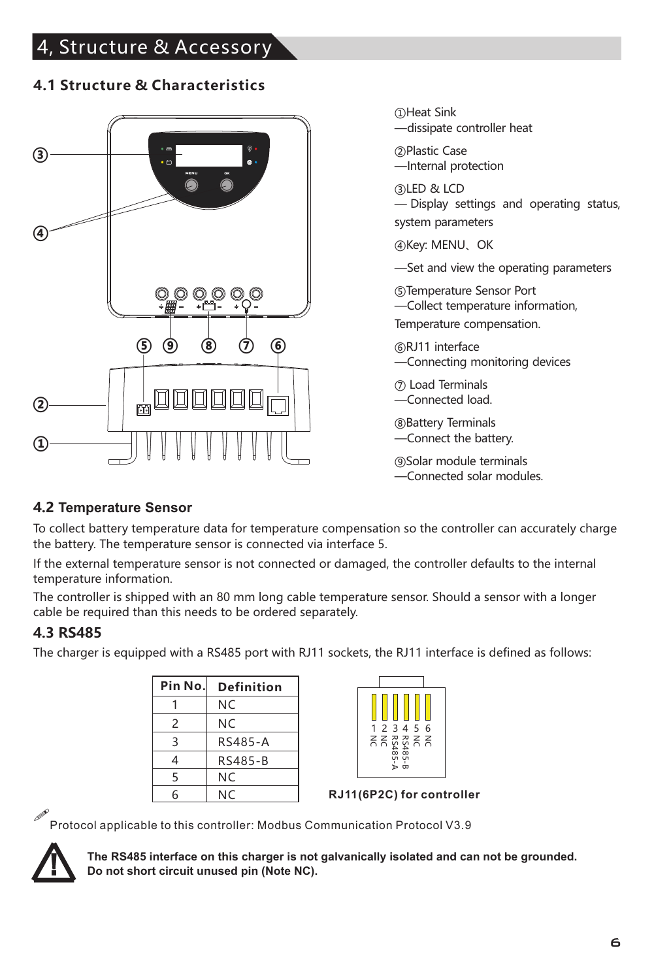# 4, Structure & Accessory

### **4.1 Structure & Characteristics**



①Heat Sink —dissipate controller heat

②Plastic Case —Internal protection

③LED & LCD — Display settings and operating status, system parameters

④Key: MENU、OK

—Set and view the operating parameters

⑤Temperature Sensor Port —Collect temperature information,

Temperature compensation.

⑥RJ11 interface —Connecting monitoring devices

⑦ Load Terminals —Connected load.

⑧Battery Terminals —Connect the battery.

⑨Solar module terminals —Connected solar modules.

### **4.2 Temperature Sensor**

To collect battery temperature data for temperature compensation so the controller can accurately charge the battery. The temperature sensor is connected via interface 5.

If the external temperature sensor is not connected or damaged, the controller defaults to the internal temperature information.

The controller is shipped with an 80 mm long cable temperature sensor. Should a sensor with a longer cable be required than this needs to be ordered separately.

### **4.3 RS485**

The charger is equipped with a RS485 port with RJ11 sockets, the RJ11 interface is defined as follows:

| Pin No. | Definition |
|---------|------------|
|         | NC.        |
| 2       | NC.        |
| 3       | RS485-A    |
| 4       | RS485-B    |
| 5       | NC.        |
| 6       | NC.        |



**RJ11(6P2C) for controller**

!Protocol applicable to this controller: Modbus Communication Protocol V3.9



**The RS485 interface on this charger is not galvanically isolated and can not be grounded. Do not short circuit unused pin (Note NC).**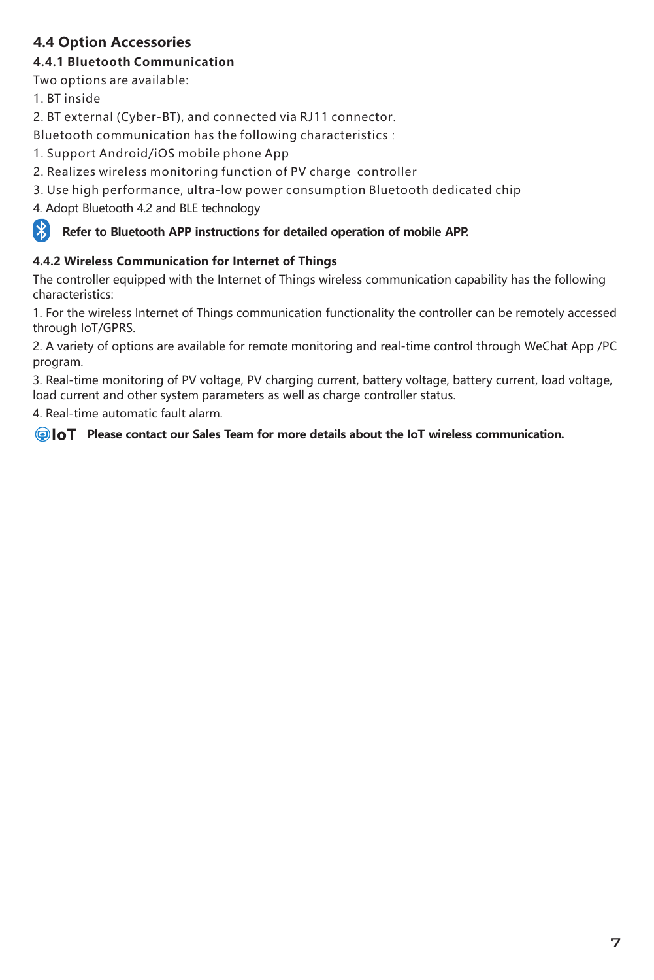### **4.4 Option Accessories**

#### **4.4.1 Bluetooth Communication**

Two options are available:

1. BT inside

2. BT external (Cyber-BT), and connected via RJ11 connector.

Bluetooth communication has the following characteristics:

1. Support Android/iOS mobile phone App

- 2. Realizes wireless monitoring function of PV charge controller
- 3. Use high performance, ultra-low power consumption Bluetooth dedicated chip

4. Adopt Bluetooth 4.2 and BLE technology

#### 保 **Refer to Bluetooth APP instructions for detailed operation of mobile APP.**

#### **4.4.2 Wireless Communication for Internet of Things**

The controller equipped with the Internet of Things wireless communication capability has the following characteristics:

1. For the wireless Internet of Things communication functionality the controller can be remotely accessed through IoT/GPRS.

2. A variety of options are available for remote monitoring and real-time control through WeChat App /PC program.

3. Real-time monitoring of PV voltage, PV charging current, battery voltage, battery current, load voltage, load current and other system parameters as well as charge controller status.

4. Real-time automatic fault alarm.

**Please contact our Sales Team for more details about the IoT wireless communication.**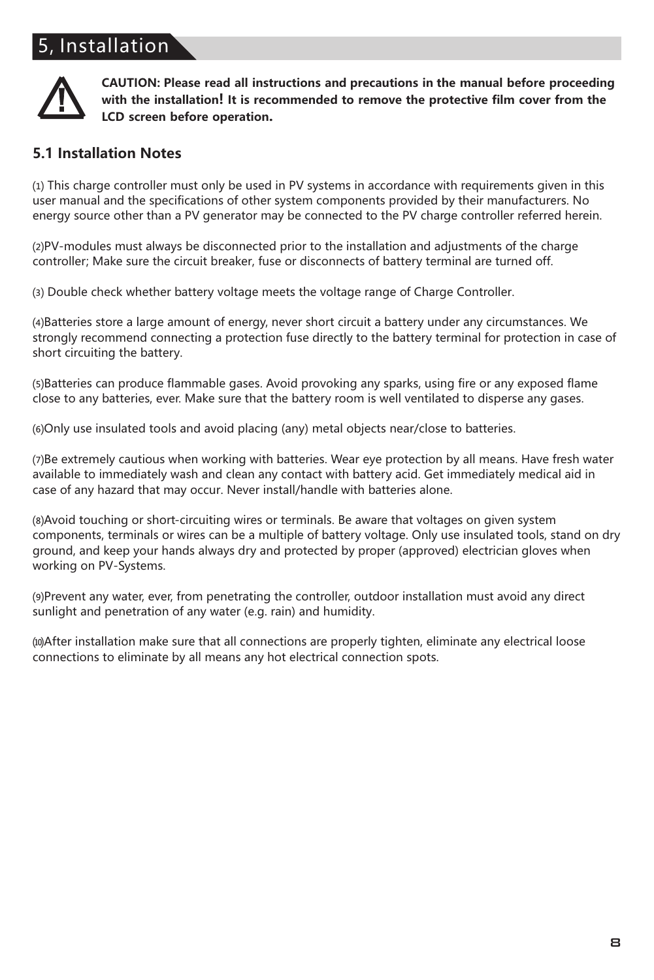# 5, Installation



**CAUTION: Please read all instructions and precautions in the manual before proceeding with the installation! It is recommended to remove the protective film cover from the LCD screen before operation.**

### **5.1 Installation Notes**

⑴ This charge controller must only be used in PV systems in accordance with requirements given in this user manual and the specifications of other system components provided by their manufacturers. No energy source other than a PV generator may be connected to the PV charge controller referred herein.

⑵PV-modules must always be disconnected prior to the installation and adjustments of the charge controller; Make sure the circuit breaker, fuse or disconnects of battery terminal are turned off.

⑶ Double check whether battery voltage meets the voltage range of Charge Controller.

⑷Batteries store a large amount of energy, never short circuit a battery under any circumstances. We strongly recommend connecting a protection fuse directly to the battery terminal for protection in case of short circuiting the battery.

⑸Batteries can produce flammable gases. Avoid provoking any sparks, using fire or any exposed flame close to any batteries, ever. Make sure that the battery room is well ventilated to disperse any gases.

⑹Only use insulated tools and avoid placing (any) metal objects near/close to batteries.

⑺Be extremely cautious when working with batteries. Wear eye protection by all means. Have fresh water available to immediately wash and clean any contact with battery acid. Get immediately medical aid in case of any hazard that may occur. Never install/handle with batteries alone.

⑻Avoid touching or short-circuiting wires or terminals. Be aware that voltages on given system components, terminals or wires can be a multiple of battery voltage. Only use insulated tools, stand on dry ground, and keep your hands always dry and protected by proper (approved) electrician gloves when working on PV-Systems.

⑼Prevent any water, ever, from penetrating the controller, outdoor installation must avoid any direct sunlight and penetration of any water (e.g. rain) and humidity.

⑽After installation make sure that all connections are properly tighten, eliminate any electrical loose connections to eliminate by all means any hot electrical connection spots.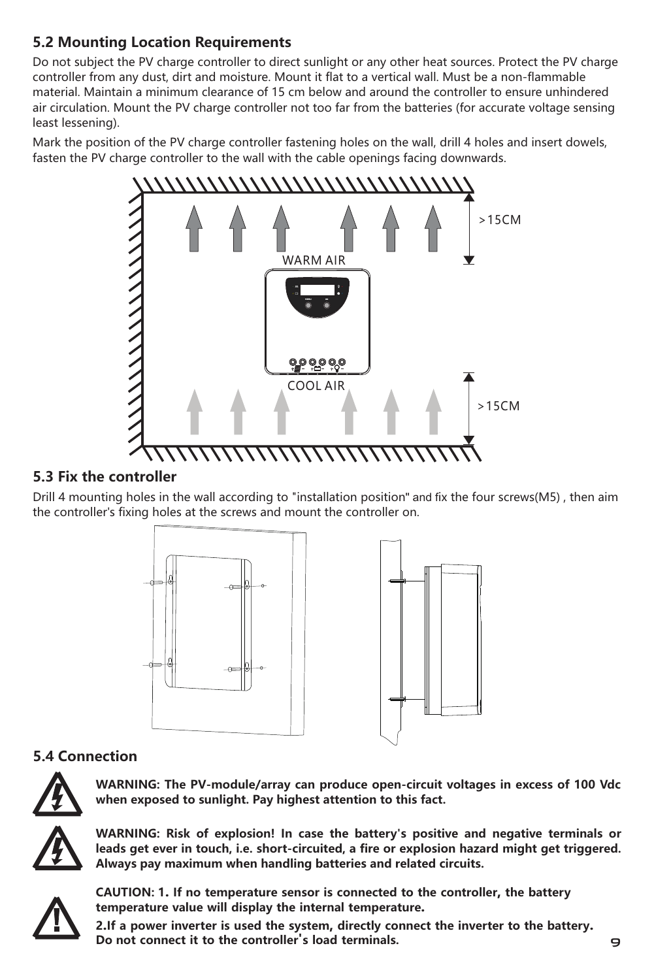### **5.2 Mounting Location Requirements**

Do not subject the PV charge controller to direct sunlight or any other heat sources. Protect the PV charge controller from any dust, dirt and moisture. Mount it flat to a vertical wall. Must be a non-flammable material. Maintain a minimum clearance of 15 cm below and around the controller to ensure unhindered air circulation. Mount the PV charge controller not too far from the batteries (for accurate voltage sensing least lessening).

Mark the position of the PV charge controller fastening holes on the wall, drill 4 holes and insert dowels, fasten the PV charge controller to the wall with the cable openings facing downwards.



### **5.3 Fix the controller**

Drill 4 mounting holes in the wall according to "installation position" and fix the four screws(M5) , then aim the controller's fixing holes at the screws and mount the controller on.





### **5.4 Connection**



**WARNING: The PV-module/array can produce open-circuit voltages in excess of 100 Vdc when exposed to sunlight. Pay highest attention to this fact.**



**WARNING: Risk of explosion! In case the battery's positive and negative terminals or** leads get ever in touch, i.e. short-circuited, a fire or explosion hazard might get triggered. **Always pay maximum when handling batteries and related circuits.**



**CAUTION: 1. If no temperature sensor is connected to the controller, the battery temperature value will display the internal temperature.**

**2.If a power inverter is used the system, directly connect the inverter to the battery. Do not connect it to the controller's load terminals.**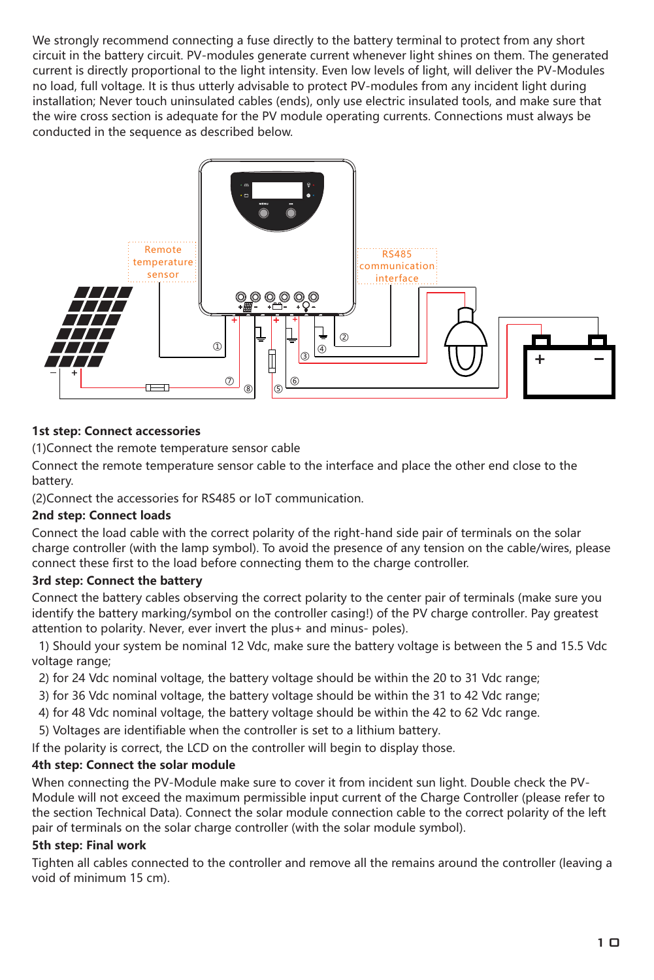We strongly recommend connecting a fuse directly to the battery terminal to protect from any short circuit in the battery circuit. PV-modules generate current whenever light shines on them. The generated current is directly proportional to the light intensity. Even low levels of light, will deliver the PV-Modules no load, full voltage. It is thus utterly advisable to protect PV-modules from any incident light during installation; Never touch uninsulated cables (ends), only use electric insulated tools, and make sure that the wire cross section is adequate for the PV module operating currents. Connections must always be conducted in the sequence as described below.



#### **1st step: Connect accessories**

(1)Connect the remote temperature sensor cable

Connect the remote temperature sensor cable to the interface and place the other end close to the battery.

(2)Connect the accessories for RS485 or IoT communication.

#### **2nd step: Connect loads**

Connect the load cable with the correct polarity of the right-hand side pair of terminals on the solar charge controller (with the lamp symbol). To avoid the presence of any tension on the cable/wires, please connect these first to the load before connecting them to the charge controller.

#### **3rd step: Connect the battery**

Connect the battery cables observing the correct polarity to the center pair of terminals (make sure you identify the battery marking/symbol on the controller casing!) of the PV charge controller. Pay greatest attention to polarity. Never, ever invert the plus+ and minus- poles).

 1) Should your system be nominal 12 Vdc, make sure the battery voltage is between the 5 and 15.5 Vdc voltage range;

2) for 24 Vdc nominal voltage, the battery voltage should be within the 20 to 31 Vdc range;

- 3) for 36 Vdc nominal voltage, the battery voltage should be within the 31 to 42 Vdc range;
- 4) for 48 Vdc nominal voltage, the battery voltage should be within the 42 to 62 Vdc range.
- 5) Voltages are identifiable when the controller is set to a lithium battery.

If the polarity is correct, the LCD on the controller will begin to display those.

#### **4th step: Connect the solar module**

When connecting the PV-Module make sure to cover it from incident sun light. Double check the PV-Module will not exceed the maximum permissible input current of the Charge Controller (please refer to the section Technical Data). Connect the solar module connection cable to the correct polarity of the left pair of terminals on the solar charge controller (with the solar module symbol).

#### **5th step: Final work**

Tighten all cables connected to the controller and remove all the remains around the controller (leaving a void of minimum 15 cm).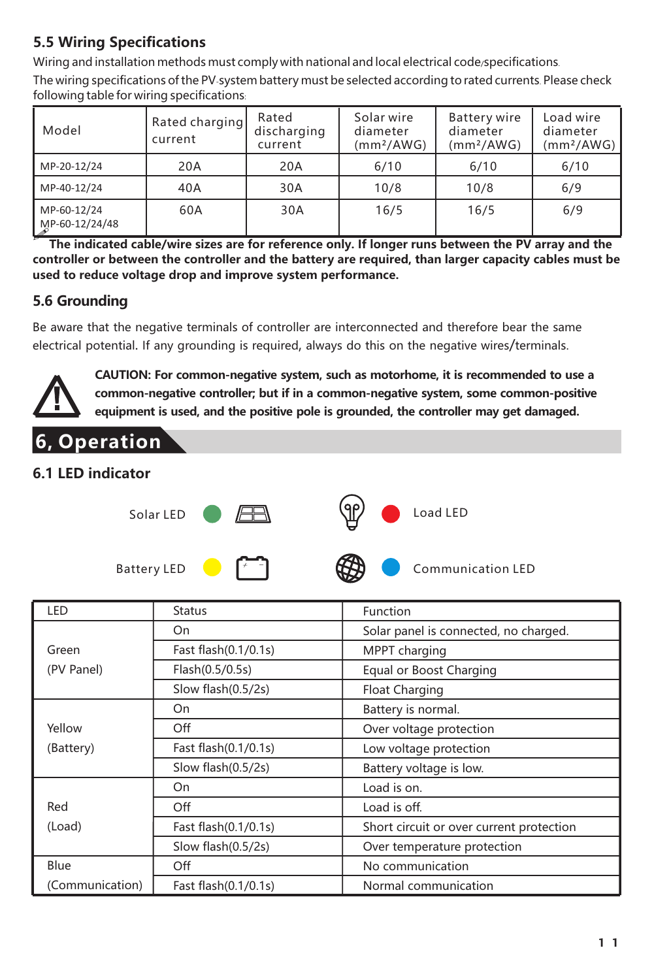### **5.5 Wiring Specifications**

Wiring and installation methods must comply with national and local electrical code specifications.

The wiring specifications ofthe PV-system battery must be selected according to rated currents. Please check following table for wiring specifications:

| Model                         | Rated charging<br>current | Rated<br>discharging<br>current | Solar wire<br>diameter<br>(mm <sup>2</sup> /AWG) | <b>Battery wire</b><br>diameter<br>(mm <sup>2</sup> /AWG) | Load wire<br>diameter<br>(mm <sup>2</sup> /AWG) |
|-------------------------------|---------------------------|---------------------------------|--------------------------------------------------|-----------------------------------------------------------|-------------------------------------------------|
| MP-20-12/24                   | 20A                       | 20A                             | 6/10                                             | 6/10                                                      | 6/10                                            |
| MP-40-12/24                   | 40A                       | 30A                             | 10/8                                             | 10/8                                                      | 6/9                                             |
| MP-60-12/24<br>MP-60-12/24/48 | 60A                       | 30A                             | 16/5                                             | 16/5                                                      | 6/9                                             |

**controller or between the controller and the battery are required, than larger capacity cables must be used to reduce voltage drop and improve system performance.** The indicated cable/wire sizes are for reference only. If longer runs between the PV array and the

### **5.6 Grounding**

Be aware that the negative terminals of controller are interconnected and therefore bear the same electrical potential. If any grounding is required, always do this on the negative wires/terminals.



**CAUTION: For common-negative system, such as motorhome, it is recommended to use a common-negative controller; but if in a common-negative system, some common-positive equipment is used, and the positive pole is grounded, the controller may get damaged.**

### **6.1 LED indicator**

**6, Operation**



| Battery LEL |
|-------------|
|-------------|

| LED             | <b>Status</b>        | Function                                 |
|-----------------|----------------------|------------------------------------------|
|                 | On                   | Solar panel is connected, no charged.    |
| Green           | Fast flash(0.1/0.1s) | MPPT charging                            |
| (PV Panel)      | Flash(0.5/0.5s)      | Equal or Boost Charging                  |
|                 | Slow flash(0.5/2s)   | Float Charging                           |
|                 | On                   | Battery is normal.                       |
| Yellow          | Off                  | Over voltage protection                  |
| (Battery)       | Fast flash(0.1/0.1s) | Low voltage protection                   |
|                 | Slow flash(0.5/2s)   | Battery voltage is low.                  |
|                 | On                   | Load is on.                              |
| Red             | Off                  | Load is off.                             |
| (Load)          | Fast flash(0.1/0.1s) | Short circuit or over current protection |
|                 | Slow flash(0.5/2s)   | Over temperature protection              |
| Blue            | Off                  | No communication                         |
| (Communication) | Fast flash(0.1/0.1s) | Normal communication                     |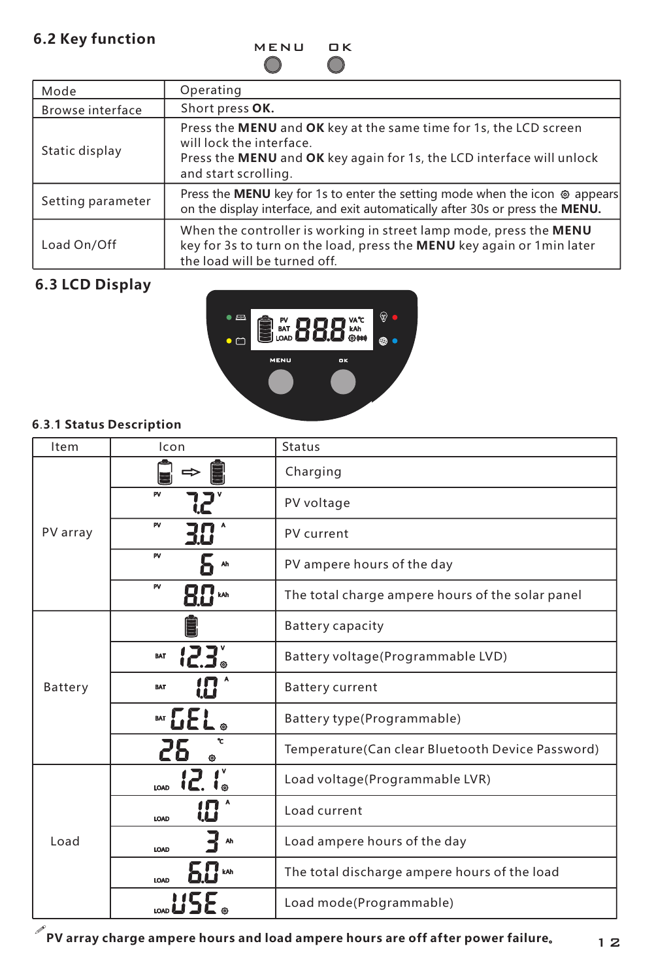### **6.2 Key function**

MENU OK

| Mode              | Operating                                                                                                                                                                                      |
|-------------------|------------------------------------------------------------------------------------------------------------------------------------------------------------------------------------------------|
| Browse interface  | Short press OK.                                                                                                                                                                                |
| Static display    | Press the MENU and OK key at the same time for 1s, the LCD screen<br>will lock the interface.<br>Press the MENU and OK key again for 1s, the LCD interface will unlock<br>and start scrolling. |
| Setting parameter | Press the MENU key for 1s to enter the setting mode when the icon @ appears<br>on the display interface, and exit automatically after 30s or press the MENU.                                   |
| Load On/Off       | When the controller is working in street lamp mode, press the MENU<br>key for 3s to turn on the load, press the MENU key again or 1 min later<br>the load will be turned off.                  |

## **6.3 LCD Display**



### **6**.**3**.**1 Status Description**

| Item     | Icon               | <b>Status</b>                                    |
|----------|--------------------|--------------------------------------------------|
|          |                    | Charging                                         |
|          | PV                 | PV voltage                                       |
| PV array | PV                 | PV current                                       |
|          | PV<br>Ah           | PV ampere hours of the day                       |
|          | P٧<br>kAh          | The total charge ampere hours of the solar panel |
|          |                    | <b>Battery capacity</b>                          |
| Battery  | 123.<br><b>BAT</b> | Battery voltage(Programmable LVD)                |
|          | BAT                | <b>Battery current</b>                           |
|          | ‴CEL               | Battery type(Programmable)                       |
|          |                    | Temperature(Can clear Bluetooth Device Password) |
| Load     | 12.6               | Load voltage(Programmable LVR)                   |
|          | LOAD               | Load current                                     |
|          | Ah<br>LOAD         | Load ampere hours of the day                     |
|          | LOAD               | The total discharge ampere hours of the load     |
|          |                    | Load mode(Programmable)                          |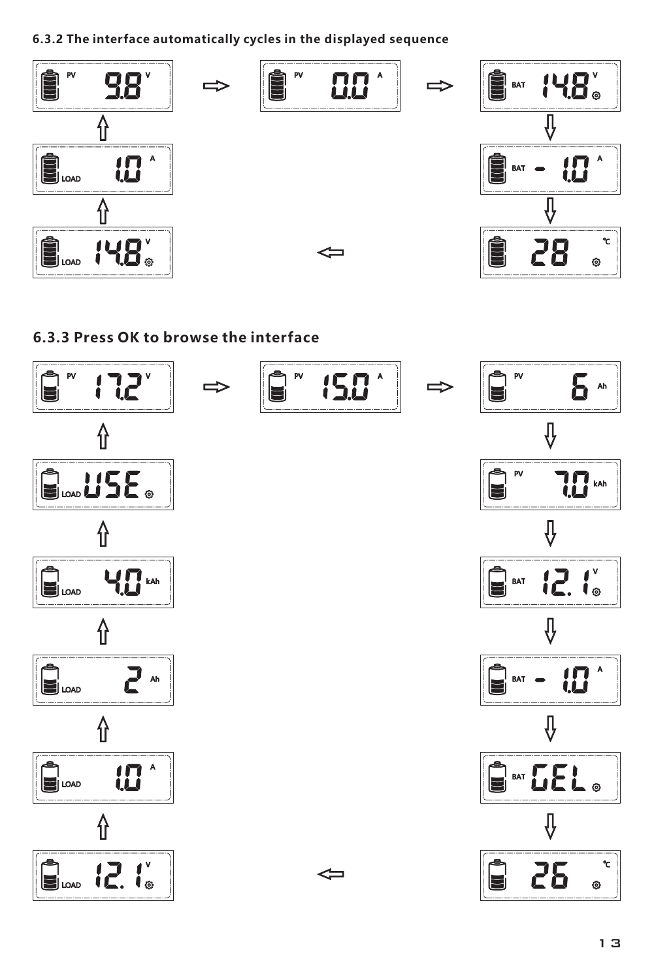**6.3.2 The interface automatically cycles in the displayed sequence**



### **6.3.3 Press OK to browse the interface**

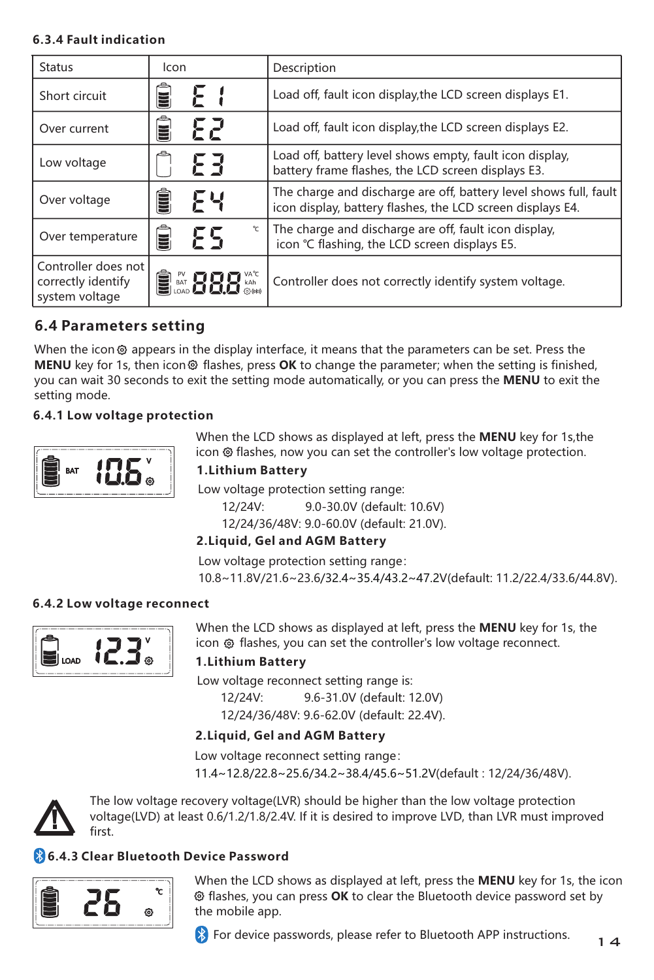#### **6.3.4 Fault indication**

| Status                                                      | Icon                    |                                                                                                                                 |
|-------------------------------------------------------------|-------------------------|---------------------------------------------------------------------------------------------------------------------------------|
|                                                             |                         | Description                                                                                                                     |
| Short circuit                                               | ΕI<br>≣                 | Load off, fault icon display, the LCD screen displays E1.                                                                       |
| Over current                                                | 52.<br>Ē                | Load off, fault icon display, the LCD screen displays E2.                                                                       |
| Low voltage                                                 | ЕЗ                      | Load off, battery level shows empty, fault icon display,<br>battery frame flashes, the LCD screen displays E3.                  |
| Over voltage                                                | Ê<br>۶ч                 | The charge and discharge are off, battery level shows full, fault<br>icon display, battery flashes, the LCD screen displays E4. |
| Over temperature                                            | $\mathbf{v}$<br>Ë<br>۶S | The charge and discharge are off, fault icon display,<br>icon °C flashing, the LCD screen displays E5.                          |
| Controller does not<br>correctly identify<br>system voltage | <b>BM888</b>            | Controller does not correctly identify system voltage.                                                                          |

### **6.4 Parameters setting**

When the icon  $\odot$  appears in the display interface, it means that the parameters can be set. Press the **MENU** key for 1s, then icon **o** flashes, press **OK** to change the parameter; when the setting is finished, you can wait 30 seconds to exit the setting mode automatically, or you can press the **MENU** to exit the setting mode.

#### **6.4.1 Low voltage protection**



When the LCD shows as displayed at left, press the **MENU** key for 1s,the icon @ flashes, now you can set the controller's low voltage protection.

### **1.Lithium Battery**

Low voltage protection setting range:

12/24V: 9.0-30.0V (default: 10.6V)

12/24/36/48V: 9.0-60.0V (default: 21.0V).

### **2.Liquid, Gel and AGM Battery**

Low voltage protection setting range:

10.8~11.8V/21.6~23.6/32.4~35.4/43.2~47.2V(default: 11.2/22.4/33.6/44.8V).

#### **6.4.2 Low voltage reconnect**



When the LCD shows as displayed at left, press the **MENU** key for 1s, the icon @ flashes, you can set the controller's low voltage reconnect.

### **1.Lithium Battery**

Low voltage reconnect setting range is:

 12/24V: 9.6-31.0V (default: 12.0V) 12/24/36/48V: 9.6-62.0V (default: 22.4V).

### **2.Liquid, Gel and AGM Battery**

Low voltage reconnect setting range: 11.4~12.8/22.8~25.6/34.2~38.4/45.6~51.2V(default : 12/24/36/48V).



The low voltage recovery voltage(LVR) should be higher than the low voltage protection voltage(LVD) at least 0.6/1.2/1.8/2.4V. If it is desired to improve LVD, than LVR must improved first.

### **6.4.3 Clear Bluetooth Device Password**



When the LCD shows as displayed at left, press the **MENU** key for 1s, the icon flashes, you can press **OK** to clear the Bluetooth device password set by the mobile app.

**EX** For device passwords, please refer to Bluetooth APP instructions.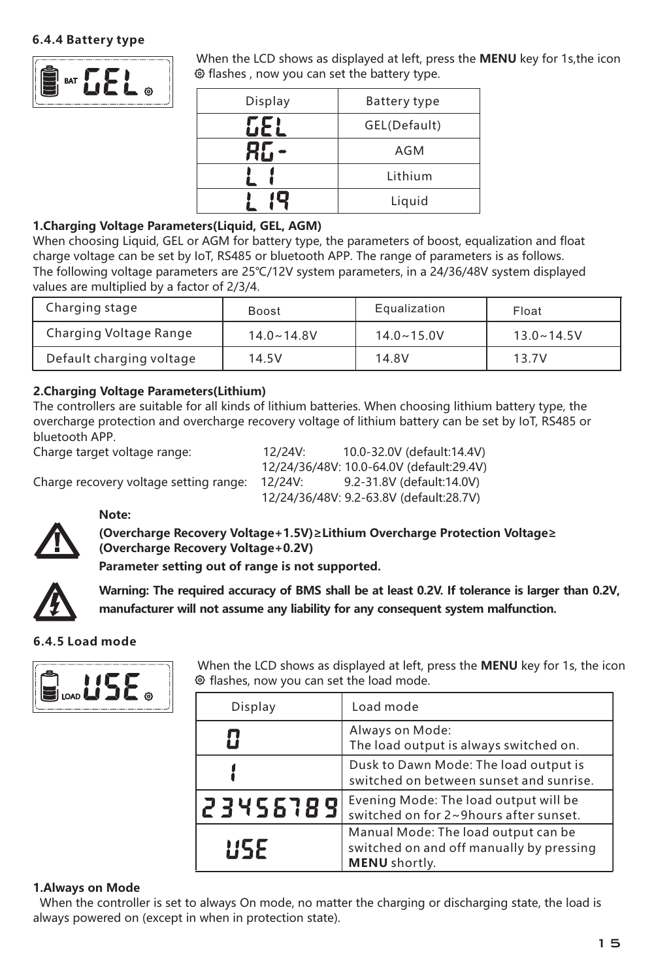#### **6.4.4 Battery type**



When the LCD shows as displayed at left, press the **MENU** key for 1s,the icon  $\bullet$  flashes , now you can set the battery type.

| Display | Battery type |
|---------|--------------|
|         | GEL(Default) |
|         | AGM          |
|         | Lithium      |
|         | Liquid       |

#### **1.Charging Voltage Parameters(Liquid, GEL, AGM)**

When choosing Liquid, GEL or AGM for battery type, the parameters of boost, equalization and float charge voltage can be set by IoT, RS485 or bluetooth APP. The range of parameters is as follows. The following voltage parameters are 25℃/12V system parameters, in a 24/36/48V system displayed values are multiplied by a factor of 2/3/4.

| Charging stage           | <b>Boost</b>   | Equalization   | Float               |
|--------------------------|----------------|----------------|---------------------|
| Charging Voltage Range   | $14.0 - 14.8V$ | $14.0 - 15.0V$ | $13.0 \times 14.5V$ |
| Default charging voltage | 14.5V          | 14.8V          | 13.7V               |

#### **2. thium Charging Voltage Parameters(Li )**

The controllers are suitable for all kinds of lithium batteries. When choosing lithium battery type, the overcharge protection and overcharge recovery voltage of lithium battery can be set by IoT, RS485 or bluetooth APP.

Charge target voltage range: 12/24V: 10.0-32.0V (default:14.4V) 12/24/36/48V: 10.0-64.0V (default:29.4V) Charge recovery voltage setting range: 12/24V: 12/24/36/48V: 9.2-63.8V (default:28.7V)



**Note:** 

**(Overcharge Recovery Voltage+1.5V)≥Lithium Overcharge Protection Voltage≥ (Overcharge Recovery Voltage+0.2V)** 

**Parameter setting out of range is not supported.**



**Warning: The required accuracy of BMS shall be at least 0.2V. If tolerance is larger than 0.2V, manufacturer will not assume any liability for any consequent system malfunction.**

#### **6.4.5 Load mode**



When the LCD shows as displayed at left, press the **MENU** key for 1s, the icon  $\bullet$  flashes, now you can set the load mode.

| Display  | Load mode                                                                                        |
|----------|--------------------------------------------------------------------------------------------------|
|          | Always on Mode:<br>The load output is always switched on.                                        |
|          | Dusk to Dawn Mode: The load output is<br>switched on between sunset and sunrise.                 |
| 23456789 | Evening Mode: The load output will be<br>switched on for 2~9hours after sunset.                  |
| 115.F    | Manual Mode: The load output can be<br>switched on and off manually by pressing<br>MENU shortly. |

#### **1.Always on Mode**

 When the controller is set to always On mode, no matter the charging or discharging state, the load is always powered on (except in when in protection state).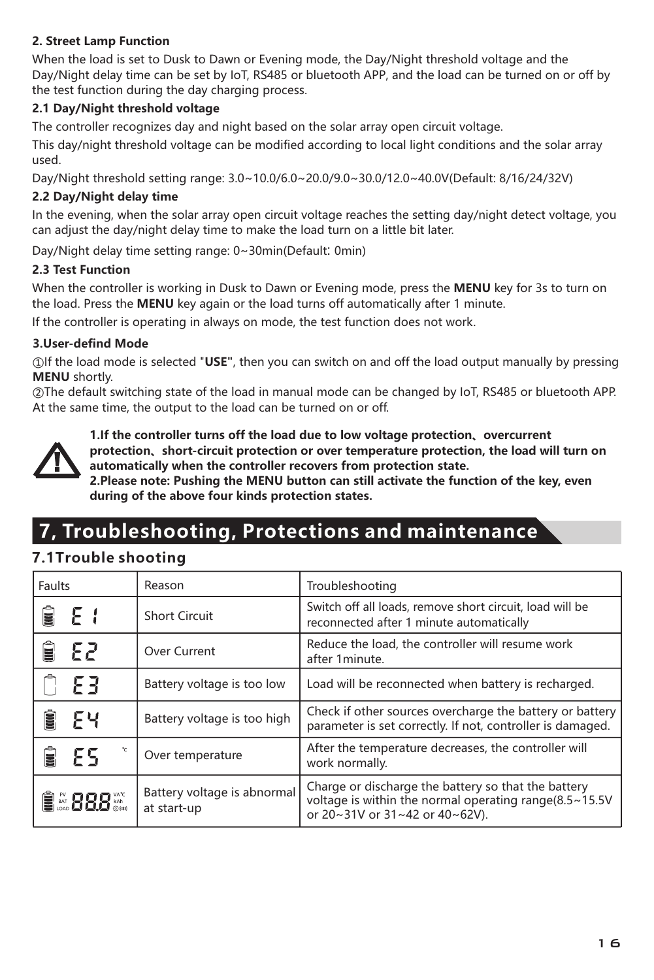#### **2. Street Lamp Function**

When the load is set to Dusk to Dawn or Evening mode, the Day/Night threshold voltage and the Day/Night delay time can be set by IoT, RS485 or bluetooth APP, and the load can be turned on or off by the test function during the day charging process.

#### **2.1 Day/Night threshold voltage**

The controller recognizes day and night based on the solar array open circuit voltage.

This day/night threshold voltage can be modified according to local light conditions and the solar array used.

Day/Night threshold setting range: 3.0~10.0/6.0~20.0/9.0~30.0/12.0~40.0V(Default: 8/16/24/32V)

#### **2.2 Day/Night delay time**

In the evening, when the solar array open circuit voltage reaches the setting day/night detect voltage, you can adjust the day/night delay time to make the load turn on a little bit later.

Day/Night delay time setting range: 0~30min(Default: 0min)

#### **2.3 Test Function**

When the controller is working in Dusk to Dawn or Evening mode, press the **MENU** key for 3s to turn on the load. Press the **MENU** key again or the load turns off automatically after 1 minute.

If the controller is operating in always on mode, the test function does not work.

#### **3.User-defind Mode**

① If the load mode is selected "**USE"**, then you can switch on and off the load output manually by pressing **MENU** shortly.

 $\oslash$ The default switching state of the load in manual mode can be changed by IoT, RS485 or bluetooth APP. At the same time, the output to the load can be turned on or off.



**1.If the controller turns off the load due to low voltage protection、overcurrent protection、short-circuit protection or over temperature protection, the load will turn on automatically when the controller recovers from protection state.**

**2.Please note: Pushing the MENU button can still activate the function of the key, even during of the above four kinds protection states.**

# **7, Troubleshooting, Protections and maintenance**

### **7.1Trouble shooting**

| Faults     | Reason                                     | Troubleshooting                                                                                                                                 |
|------------|--------------------------------------------|-------------------------------------------------------------------------------------------------------------------------------------------------|
| Ê<br>- E I | Short Circuit                              | Switch off all loads, remove short circuit, load will be<br>reconnected after 1 minute automatically                                            |
| -82<br>ă   | Over Current                               | Reduce the load, the controller will resume work<br>after 1minute.                                                                              |
| -83        | Battery voltage is too low                 | Load will be reconnected when battery is recharged.                                                                                             |
| Ê<br>۶ч    | Battery voltage is too high                | Check if other sources overcharge the battery or battery<br>parameter is set correctly. If not, controller is damaged.                          |
| v<br>۶۹    | Over temperature                           | After the temperature decreases, the controller will<br>work normally.                                                                          |
| ■28822     | Battery voltage is abnormal<br>at start-up | Charge or discharge the battery so that the battery<br>voltage is within the normal operating range(8.5~15.5V<br>or 20~31V or 31~42 or 40~62V). |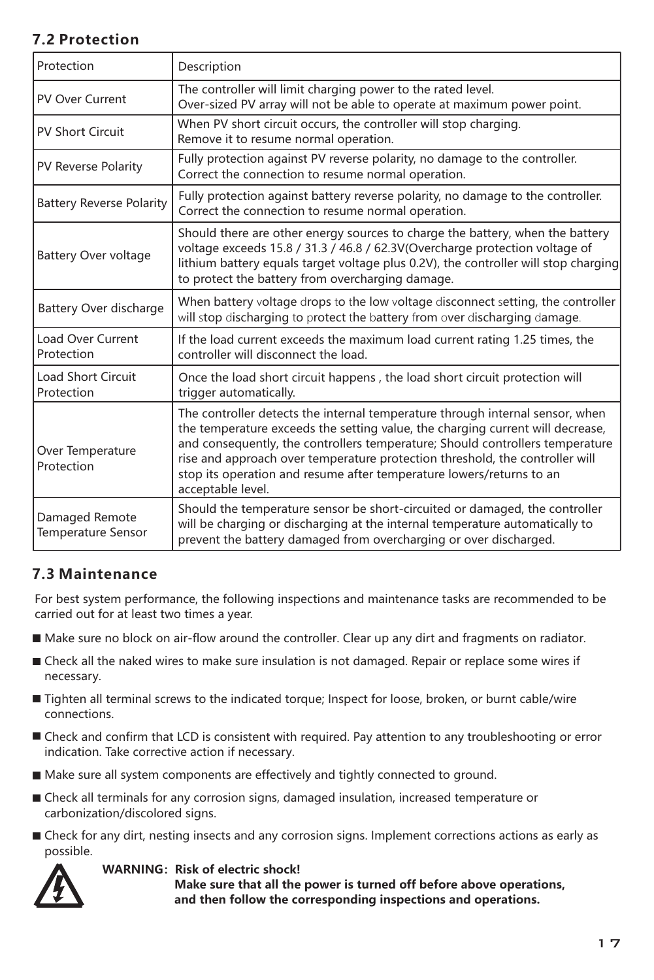### **7.2 Protection**

| Protection                                  | Description                                                                                                                                                                                                                                                                                                                                                                                                                   |  |
|---------------------------------------------|-------------------------------------------------------------------------------------------------------------------------------------------------------------------------------------------------------------------------------------------------------------------------------------------------------------------------------------------------------------------------------------------------------------------------------|--|
| PV Over Current                             | The controller will limit charging power to the rated level.<br>Over-sized PV array will not be able to operate at maximum power point.                                                                                                                                                                                                                                                                                       |  |
| PV Short Circuit                            | When PV short circuit occurs, the controller will stop charging.<br>Remove it to resume normal operation.                                                                                                                                                                                                                                                                                                                     |  |
| PV Reverse Polarity                         | Fully protection against PV reverse polarity, no damage to the controller.<br>Correct the connection to resume normal operation.                                                                                                                                                                                                                                                                                              |  |
| <b>Battery Reverse Polarity</b>             | Fully protection against battery reverse polarity, no damage to the controller.<br>Correct the connection to resume normal operation.                                                                                                                                                                                                                                                                                         |  |
| <b>Battery Over voltage</b>                 | Should there are other energy sources to charge the battery, when the battery<br>voltage exceeds 15.8 / 31.3 / 46.8 / 62.3V(Overcharge protection voltage of<br>lithium battery equals target voltage plus 0.2V), the controller will stop charging<br>to protect the battery from overcharging damage.                                                                                                                       |  |
| Battery Over discharge                      | When battery voltage drops to the low voltage disconnect setting, the controller<br>will stop discharging to protect the battery from over discharging damage.                                                                                                                                                                                                                                                                |  |
| Load Over Current<br>Protection             | If the load current exceeds the maximum load current rating 1.25 times, the<br>controller will disconnect the load.                                                                                                                                                                                                                                                                                                           |  |
| <b>Load Short Circuit</b><br>Protection     | Once the load short circuit happens, the load short circuit protection will<br>trigger automatically.                                                                                                                                                                                                                                                                                                                         |  |
| Over Temperature<br>Protection              | The controller detects the internal temperature through internal sensor, when<br>the temperature exceeds the setting value, the charging current will decrease,<br>and consequently, the controllers temperature; Should controllers temperature<br>rise and approach over temperature protection threshold, the controller will<br>stop its operation and resume after temperature lowers/returns to an<br>acceptable level. |  |
| Damaged Remote<br><b>Temperature Sensor</b> | Should the temperature sensor be short-circuited or damaged, the controller<br>will be charging or discharging at the internal temperature automatically to<br>prevent the battery damaged from overcharging or over discharged.                                                                                                                                                                                              |  |

### **7.3 Maintenance**

For best system performance, the following inspections and maintenance tasks are recommended to be carried out for at least two times a year.

- Make sure no block on air-flow around the controller. Clear up any dirt and fragments on radiator.
- Check all the naked wires to make sure insulation is not damaged. Repair or replace some wires if necessary.
- Tighten all terminal screws to the indicated torque; Inspect for loose, broken, or burnt cable/wire connections.
- Check and confirm that LCD is consistent with required. Pay attention to any troubleshooting or error indication. Take corrective action if necessary.
- Make sure all system components are effectively and tightly connected to ground.
- Check all terminals for any corrosion signs, damaged insulation, increased temperature or carbonization/discolored signs.
- Check for any dirt, nesting insects and any corrosion signs. Implement corrections actions as early as possible.

#### **WARNING: Risk of electric shock!**

 **Make sure that all the power is turned off before above operations, and then follow the corresponding inspections and operations.**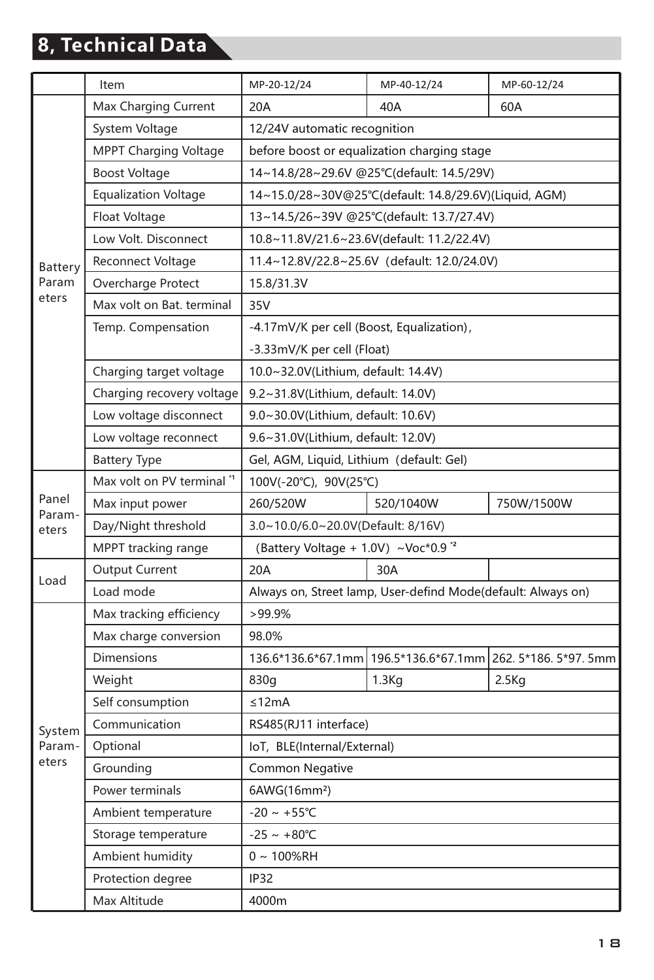# **8, Technical Data**

|                           | Item                         | MP-20-12/24                                           | MP-40-12/24                                                  | MP-60-12/24                           |  |
|---------------------------|------------------------------|-------------------------------------------------------|--------------------------------------------------------------|---------------------------------------|--|
| Battery<br>Param<br>eters | Max Charging Current         | 20A                                                   | 40A                                                          | 60A                                   |  |
|                           | System Voltage               | 12/24V automatic recognition                          |                                                              |                                       |  |
|                           | <b>MPPT Charging Voltage</b> | before boost or equalization charging stage           |                                                              |                                       |  |
|                           | <b>Boost Voltage</b>         | 14~14.8/28~29.6V @25°C(default: 14.5/29V)             |                                                              |                                       |  |
|                           | <b>Equalization Voltage</b>  | 14~15.0/28~30V@25°C(default: 14.8/29.6V)(Liquid, AGM) |                                                              |                                       |  |
|                           | Float Voltage                | 13~14.5/26~39V @25°C(default: 13.7/27.4V)             |                                                              |                                       |  |
|                           | Low Volt. Disconnect         |                                                       | 10.8~11.8V/21.6~23.6V(default: 11.2/22.4V)                   |                                       |  |
|                           | Reconnect Voltage            |                                                       | 11.4~12.8V/22.8~25.6V (default: 12.0/24.0V)                  |                                       |  |
|                           | Overcharge Protect           | 15.8/31.3V                                            |                                                              |                                       |  |
|                           | Max volt on Bat. terminal    | 35V                                                   |                                                              |                                       |  |
|                           | Temp. Compensation           | -4.17mV/K per cell (Boost, Equalization),             |                                                              |                                       |  |
|                           |                              | -3.33mV/K per cell (Float)                            |                                                              |                                       |  |
|                           | Charging target voltage      | 10.0~32.0V(Lithium, default: 14.4V)                   |                                                              |                                       |  |
|                           | Charging recovery voltage    | 9.2~31.8V(Lithium, default: 14.0V)                    |                                                              |                                       |  |
|                           | Low voltage disconnect       | 9.0~30.0V(Lithium, default: 10.6V)                    |                                                              |                                       |  |
|                           | Low voltage reconnect        | 9.6~31.0V(Lithium, default: 12.0V)                    |                                                              |                                       |  |
|                           | <b>Battery Type</b>          | Gel, AGM, Liquid, Lithium (default: Gel)              |                                                              |                                       |  |
|                           | Max volt on PV terminal "    | 100V(-20°C), 90V(25°C)                                |                                                              |                                       |  |
| Panel<br>Param-           | Max input power              | 260/520W                                              | 520/1040W                                                    | 750W/1500W                            |  |
| eters                     | Day/Night threshold          | 3.0~10.0/6.0~20.0V(Default: 8/16V)                    |                                                              |                                       |  |
|                           | MPPT tracking range          | (Battery Voltage + 1.0V) ~Voc*0.9 '2                  |                                                              |                                       |  |
|                           | Output Current               | 20A                                                   | 30A                                                          |                                       |  |
| Load                      | Load mode                    |                                                       | Always on, Street lamp, User-defind Mode(default: Always on) |                                       |  |
|                           | Max tracking efficiency      | $>99.9\%$                                             |                                                              |                                       |  |
| System<br>Param-          | Max charge conversion        | 98.0%                                                 |                                                              |                                       |  |
|                           | <b>Dimensions</b>            | 136.6*136.6*67.1mm                                    |                                                              | 196.5*136.6*67.1mm 262.5*186.5*97.5mm |  |
|                           | Weight                       | 830g                                                  | 1.3Kq                                                        | $2.5$ Kg                              |  |
|                           | Self consumption             | ≤12mA                                                 |                                                              |                                       |  |
|                           | Communication                | RS485(RJ11 interface)                                 |                                                              |                                       |  |
|                           | Optional                     | IoT, BLE(Internal/External)                           |                                                              |                                       |  |
| eters                     | Grounding                    | Common Negative                                       |                                                              |                                       |  |
|                           | Power terminals              | 6AWG(16mm <sup>2</sup> )                              |                                                              |                                       |  |
|                           | Ambient temperature          | $-20 \sim +55^{\circ}C$                               |                                                              |                                       |  |
|                           | Storage temperature          | $-25 - +80^{\circ}C$                                  |                                                              |                                       |  |
|                           | Ambient humidity             | $0 \sim 100\%$ RH                                     |                                                              |                                       |  |
|                           | Protection degree            | <b>IP32</b>                                           |                                                              |                                       |  |
|                           | Max Altitude                 | 4000m                                                 |                                                              |                                       |  |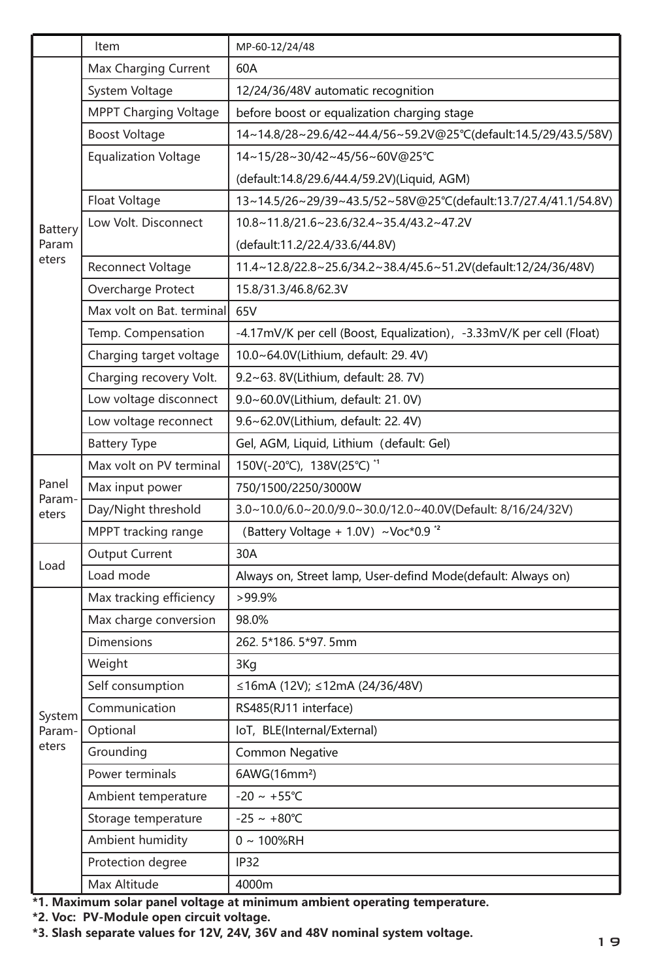|                                                                                                                       | Item                        | MP-60-12/24/48                                                       |  |  |  |
|-----------------------------------------------------------------------------------------------------------------------|-----------------------------|----------------------------------------------------------------------|--|--|--|
|                                                                                                                       | Max Charging Current        | 60A                                                                  |  |  |  |
|                                                                                                                       | System Voltage              | 12/24/36/48V automatic recognition                                   |  |  |  |
|                                                                                                                       | MPPT Charging Voltage       | before boost or equalization charging stage                          |  |  |  |
|                                                                                                                       | <b>Boost Voltage</b>        | 14~14.8/28~29.6/42~44.4/56~59.2V@25°C(default:14.5/29/43.5/58V)      |  |  |  |
|                                                                                                                       | <b>Equalization Voltage</b> | 14~15/28~30/42~45/56~60V@25°C                                        |  |  |  |
|                                                                                                                       |                             | (default:14.8/29.6/44.4/59.2V)(Liquid, AGM)                          |  |  |  |
|                                                                                                                       | Float Voltage               | 13~14.5/26~29/39~43.5/52~58V@25°C(default:13.7/27.4/41.1/54.8V)      |  |  |  |
| Battery                                                                                                               | Low Volt. Disconnect        | 10.8~11.8/21.6~23.6/32.4~35.4/43.2~47.2V                             |  |  |  |
| Param<br>eters                                                                                                        |                             | (default:11.2/22.4/33.6/44.8V)                                       |  |  |  |
|                                                                                                                       | Reconnect Voltage           | 11.4~12.8/22.8~25.6/34.2~38.4/45.6~51.2V(default:12/24/36/48V)       |  |  |  |
|                                                                                                                       | Overcharge Protect          | 15.8/31.3/46.8/62.3V                                                 |  |  |  |
|                                                                                                                       | Max volt on Bat. terminal   | 65V                                                                  |  |  |  |
|                                                                                                                       | Temp. Compensation          | -4.17mV/K per cell (Boost, Equalization), -3.33mV/K per cell (Float) |  |  |  |
|                                                                                                                       | Charging target voltage     | 10.0~64.0V(Lithium, default: 29.4V)                                  |  |  |  |
|                                                                                                                       | Charging recovery Volt.     | 9.2~63. 8V(Lithium, default: 28. 7V)                                 |  |  |  |
|                                                                                                                       | Low voltage disconnect      | 9.0~60.0V(Lithium, default: 21.0V)                                   |  |  |  |
|                                                                                                                       | Low voltage reconnect       | 9.6~62.0V(Lithium, default: 22.4V)                                   |  |  |  |
|                                                                                                                       | <b>Battery Type</b>         | Gel, AGM, Liquid, Lithium (default: Gel)                             |  |  |  |
|                                                                                                                       | Max volt on PV terminal     | 150V(-20°C), 138V(25°C) "                                            |  |  |  |
| Panel<br>Param-                                                                                                       | Max input power             | 750/1500/2250/3000W                                                  |  |  |  |
| eters                                                                                                                 | Day/Night threshold         | 3.0~10.0/6.0~20.0/9.0~30.0/12.0~40.0V(Default: 8/16/24/32V)          |  |  |  |
|                                                                                                                       | MPPT tracking range         | (Battery Voltage + 1.0V) ~ Voc*0.9 '2                                |  |  |  |
| Load                                                                                                                  | <b>Output Current</b>       | 30A                                                                  |  |  |  |
|                                                                                                                       | Load mode                   | Always on, Street lamp, User-defind Mode(default: Always on)         |  |  |  |
|                                                                                                                       | Max tracking efficiency     | $>99.9\%$                                                            |  |  |  |
|                                                                                                                       | Max charge conversion       | 98.0%                                                                |  |  |  |
|                                                                                                                       | <b>Dimensions</b>           | 262.5*186.5*97.5mm                                                   |  |  |  |
|                                                                                                                       | Weight                      | 3Kg                                                                  |  |  |  |
| System<br>Param-<br>eters                                                                                             | Self consumption            | ≤16mA (12V); ≤12mA (24/36/48V)                                       |  |  |  |
|                                                                                                                       | Communication               | RS485(RJ11 interface)                                                |  |  |  |
|                                                                                                                       | Optional                    | IoT, BLE(Internal/External)                                          |  |  |  |
|                                                                                                                       | Grounding                   | <b>Common Negative</b>                                               |  |  |  |
|                                                                                                                       | Power terminals             | 6AWG(16mm <sup>2</sup> )                                             |  |  |  |
|                                                                                                                       | Ambient temperature         | $-20 \sim +55^{\circ}C$                                              |  |  |  |
|                                                                                                                       | Storage temperature         | $-25 - +80^{\circ}C$                                                 |  |  |  |
|                                                                                                                       | Ambient humidity            | $0 - 100%RH$                                                         |  |  |  |
|                                                                                                                       | Protection degree           | <b>IP32</b>                                                          |  |  |  |
|                                                                                                                       | Max Altitude                | 4000m                                                                |  |  |  |
| *1. Maximum solar panel voltage at minimum ambient operating temperature.<br>*2. Voc: PV-Module open circuit voltage. |                             |                                                                      |  |  |  |
| *3. Slash separate values for 12V, 24V, 36V and 48V nominal system voltage.                                           |                             |                                                                      |  |  |  |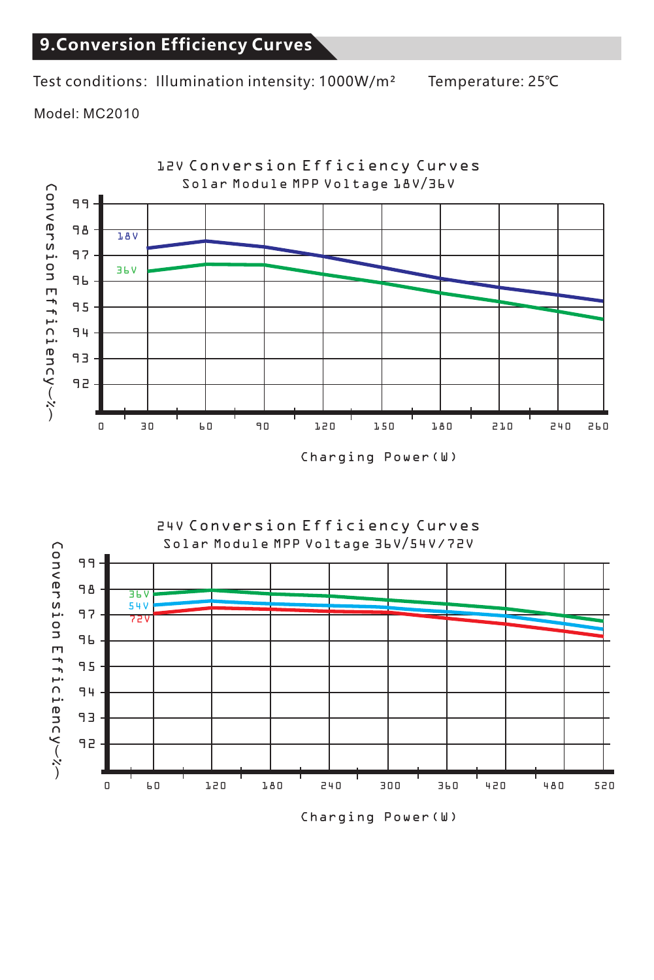## **9.Conversion Efficiency Curves**

Test conditions: Illumination intensity: 1000W/m<sup>2</sup> Temperature: 25℃

Model: MC2010





Charging Power(W)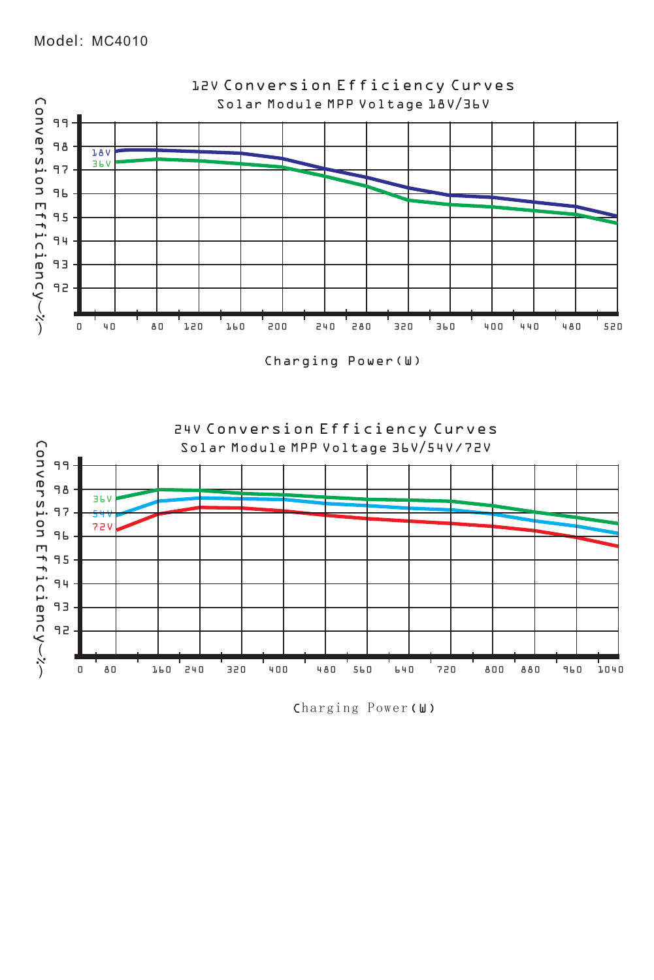

Charging Power(W)



Charging Power(W)